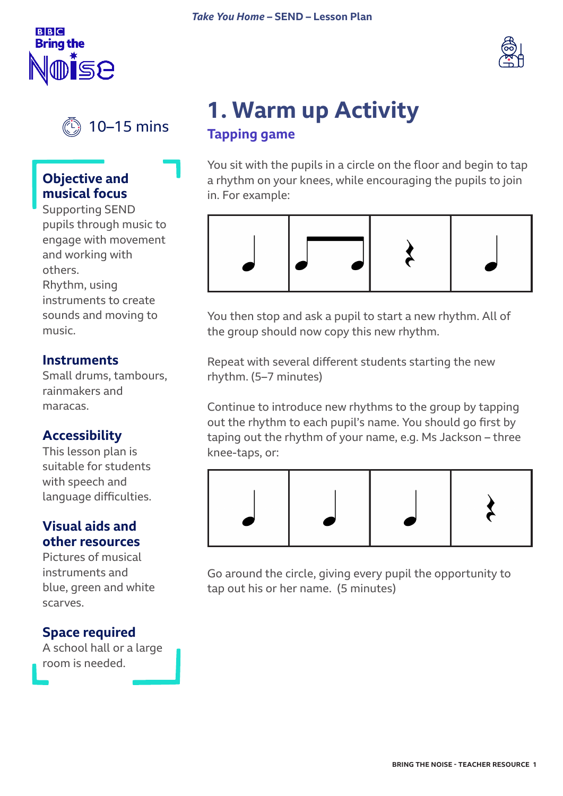





### **Objective and musical focus**

Supporting SEND pupils through music to engage with movement and working with others. Rhythm, using instruments to create

sounds and moving to music.

#### **Instruments**

Small drums, tambours, rainmakers and maracas.

### **Accessibility**

This lesson plan is suitable for students with speech and language difficulties.

### **Visual aids and other resources**

Pictures of musical instruments and blue, green and white scarves.

### **Space required**

A school hall or a large room is needed.

### **1. Warm up Activity Tapping game**

You sit with the pupils in a circle on the floor and begin to tap a rhythm on your knees, while encouraging the pupils to join in. For example:



You then stop and ask a pupil to start a new rhythm. All of the group should now copy this new rhythm.

Repeat with several different students starting the new rhythm. (5–7 minutes)

Continue to introduce new rhythms to the group by tapping out the rhythm to each pupil's name. You should go first by taping out the rhythm of your name, e.g. Ms Jackson – three knee-taps, or:



Go around the circle, giving every pupil the opportunity to tap out his or her name. (5 minutes)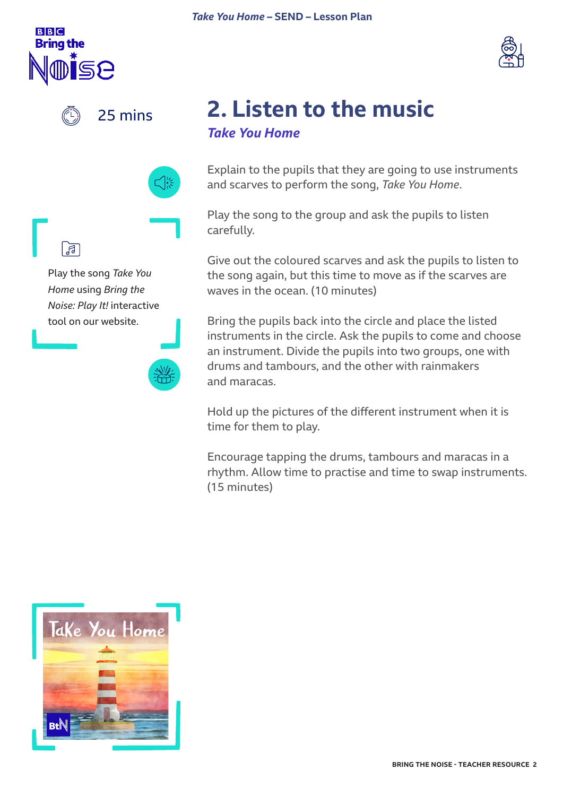





25 mins





Play the song *Take You Home* using *Bring the Noise: Play It!* interactive tool on our website.



### **2. Listen to the music**  *Take You Home*

Explain to the pupils that they are going to use instruments and scarves to perform the song, *Take You Home*.

Play the song to the group and ask the pupils to listen carefully.

Give out the coloured scarves and ask the pupils to listen to the song again, but this time to move as if the scarves are waves in the ocean. (10 minutes)

Bring the pupils back into the circle and place the listed instruments in the circle. Ask the pupils to come and choose an instrument. Divide the pupils into two groups, one with drums and tambours, and the other with rainmakers and maracas.

Hold up the pictures of the different instrument when it is time for them to play.

Encourage tapping the drums, tambours and maracas in a rhythm. Allow time to practise and time to swap instruments. (15 minutes)

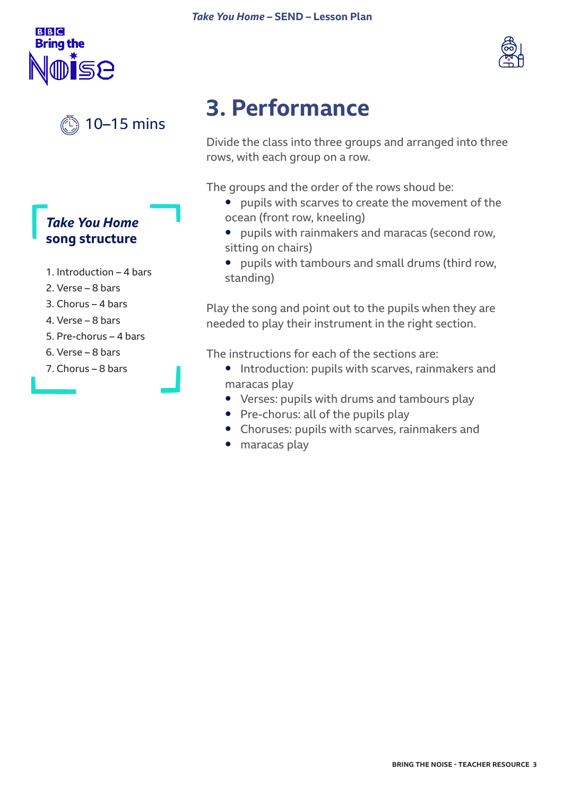## **3. Performance**

Divide the class into three groups and arranged into three rows, with each group on a row.

The groups and the order of the rows shoud be:

- **•** pupils with scarves to create the movement of the ocean (front row, kneeling)
- **•** pupils with rainmakers and maracas (second row, sitting on chairs)
- **•** pupils with tambours and small drums (third row, standing)

Play the song and point out to the pupils when they are needed to play their instrument in the right section.

The instructions for each of the sections are:

- **•** Introduction: pupils with scarves, rainmakers and maracas play
- **•** Verses: pupils with drums and tambours play
- **•** Pre-chorus: all of the pupils play
- **•** Choruses: pupils with scarves, rainmakers and
- **•** maracas play

### 10–15 mins

### *Take You Home*  **song structure**

- 1. Introduction 4 bars
- 2. Verse 8 bars
- 3. Chorus 4 bars
- 4. Verse 8 bars
- 5. Pre-chorus 4 bars
- 6. Verse 8 bars
- 7. Chorus 8 bars